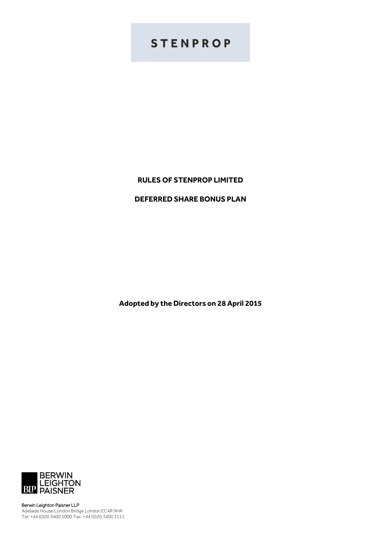# **STENPROP**

# **RULES OF STENPROP LIMITED**

# **DEFERRED SHARE BONUS PLAN**

**Adopted by the Directors on 28 April 2015**



Berwin Leighton Paisner LLP Adelaide House London Bridge London EC4R 9HA Tel: +44 (0)20 3400 1000 Fax: +44 (0)20 3400 1111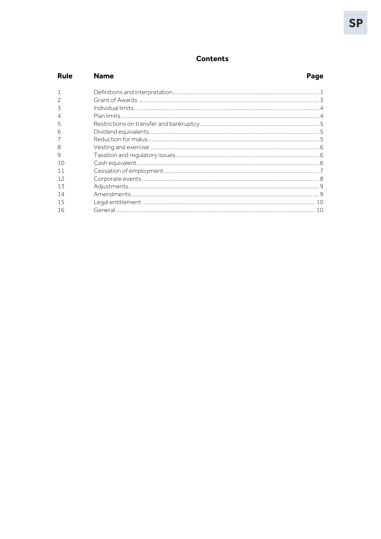# **Contents**

| <b>Rule</b> | <b>Name</b> | Page |
|-------------|-------------|------|
|             |             |      |
|             |             |      |
|             |             |      |
|             |             |      |
| 5           |             |      |
| h           |             |      |
|             |             |      |
| 8           |             |      |
| 9           |             |      |
| 10          |             |      |
| 11          |             |      |
| 12          |             |      |
| 13          |             |      |
| 14          |             |      |
| 15          |             |      |
| 16          |             |      |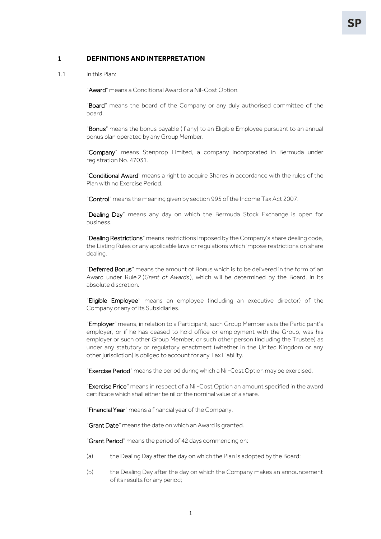### <span id="page-2-0"></span>1 **DEFINITIONS AND INTERPRETATION**

1.1 In this Plan:

"Award" means a Conditional Award or a Nil-Cost Option.

"Board" means the board of the Company or any duly authorised committee of the board.

"Bonus" means the bonus payable (if any) to an Eligible Employee pursuant to an annual bonus plan operated by any Group Member.

"Company" means Stenprop Limited, a company incorporated in Bermuda under registration No. 47031.

"Conditional Award" means a right to acquire Shares in accordance with the rules of the Plan with no Exercise Period.

"Control" means the meaning given by section 995 of the Income Tax Act 2007.

"Dealing Day" means any day on which the Bermuda Stock Exchange is open for business.

"Dealing Restrictions" means restrictions imposed by the Company's share dealing code, the Listing Rules or any applicable laws or regulations which impose restrictions on share dealing.

"Deferred Bonus" means the amount of Bonus which is to be delivered in the form of an Award under Rule [2](#page-4-0) (*[Grant of Awards](#page-4-0)* ), which will be determined by the Board, in its absolute discretion.

"Eligible Employee" means an employee (including an executive director) of the Company or any of its Subsidiaries.

"Employer" means, in relation to a Participant, such Group Member as is the Participant's employer, or if he has ceased to hold office or employment with the Group, was his employer or such other Group Member, or such other person (including the Trustee) as under any statutory or regulatory enactment (whether in the United Kingdom or any other jurisdiction) is obliged to account for any Tax Liability.

"Exercise Period" means the period during which a Nil-Cost Option may be exercised.

"Exercise Price" means in respect of a Nil-Cost Option an amount specified in the award certificate which shall either be nil or the nominal value of a share.

"Financial Year" means a financial year of the Company.

"Grant Date" means the date on which an Award is granted.

"Grant Period" means the period of 42 days commencing on:

- (a) the Dealing Day after the day on which the Plan is adopted by the Board;
- (b) the Dealing Day after the day on which the Company makes an announcement of its results for any period;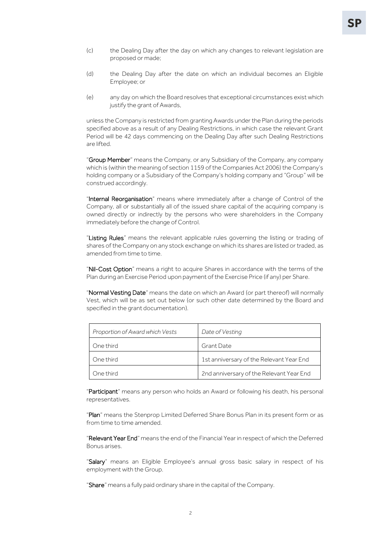- (c) the Dealing Day after the day on which any changes to relevant legislation are proposed or made;
- (d) the Dealing Day after the date on which an individual becomes an Eligible Employee; or
- (e) any day on which the Board resolves that exceptional circumstances exist which justify the grant of Awards,

unless the Company is restricted from granting Awards under the Plan during the periods specified above as a result of any Dealing Restrictions, in which case the relevant Grant Period will be 42 days commencing on the Dealing Day after such Dealing Restrictions are lifted.

"Group Member" means the Company, or any Subsidiary of the Company, any company which is (within the meaning of section 1159 of the Companies Act 2006) the Company's holding company or a Subsidiary of the Company's holding company and "Group" will be construed accordingly.

"Internal Reorganisation" means where immediately after a change of Control of the Company, all or substantially all of the issued share capital of the acquiring company is owned directly or indirectly by the persons who were shareholders in the Company immediately before the change of Control.

"Listing Rules" means the relevant applicable rules governing the listing or trading of shares of the Company on any stock exchange on which its shares are listed or traded, as amended from time to time.

"Nil-Cost Option" means a right to acquire Shares in accordance with the terms of the Plan during an Exercise Period upon payment of the Exercise Price (if any) per Share.

"Normal Vesting Date" means the date on which an Award (or part thereof) will normally Vest, which will be as set out below (or such other date determined by the Board and specified in the grant documentation).

| Proportion of Award which Vests | Date of Vesting                          |
|---------------------------------|------------------------------------------|
| One third                       | Grant Date                               |
| One third                       | 1st anniversary of the Relevant Year End |
| One third                       | 2nd anniversary of the Relevant Year End |

"Participant" means any person who holds an Award or following his death, his personal representatives.

"Plan" means the Stenprop Limited Deferred Share Bonus Plan in its present form or as from time to time amended.

"Relevant Year End" means the end of the Financial Year in respect of which the Deferred Bonus arises.

"Salary" means an Eligible Employee's annual gross basic salary in respect of his employment with the Group.

"Share" means a fully paid ordinary share in the capital of the Company.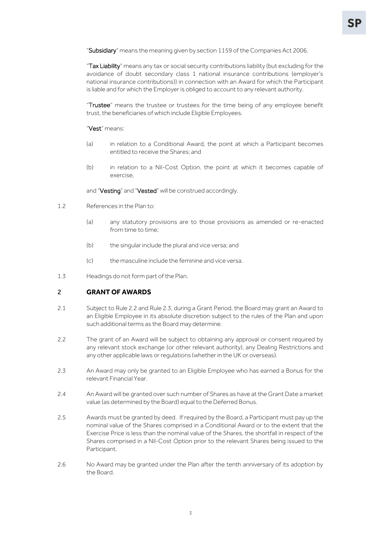"Subsidiary" means the meaning given by section 1159 of the Companies Act 2006.

"Tax Liability" means any tax or social security contributions liability (but excluding for the avoidance of doubt secondary class 1 national insurance contributions (employer's national insurance contributions)) in connection with an Award for which the Participant is liable and for which the Employer is obliged to account to any relevant authority.

"Trustee" means the trustee or trustees for the time being of any employee benefit trust, the beneficiaries of which include Eligible Employees.

#### "Vest" means:

- (a) in relation to a Conditional Award, the point at which a Participant becomes entitled to receive the Shares; and
- (b) in relation to a Nil-Cost Option, the point at which it becomes capable of exercise,

and "Vesting" and "Vested" will be construed accordingly.

- 1.2 References in the Plan to:
	- (a) any statutory provisions are to those provisions as amended or re-enacted from time to time;
	- (b) the singular include the plural and vice versa; and
	- (c) the masculine include the feminine and vice versa.
- <span id="page-4-0"></span>1.3 Headings do not form part of the Plan.

# 2 **GRANT OF AWARDS**

- 2.1 Subject to Rule [2.2](#page-4-1) and Rule [2.3,](#page-4-2) during a Grant Period, the Board may grant an Award to an Eligible Employee in its absolute discretion subject to the rules of the Plan and upon such additional terms as the Board may determine.
- <span id="page-4-1"></span>2.2 The grant of an Award will be subject to obtaining any approval or consent required by any relevant stock exchange (or other relevant authority), any Dealing Restrictions and any other applicable laws or regulations (whether in the UK or overseas).
- <span id="page-4-2"></span>2.3 An Award may only be granted to an Eligible Employee who has earned a Bonus for the relevant Financial Year.
- 2.4 An Award will be granted over such number of Shares as have at the Grant Date a market value (as determined by the Board) equal to the Deferred Bonus.
- 2.5 Awards must be granted by deed. If required by the Board, a Participant must pay up the nominal value of the Shares comprised in a Conditional Award or to the extent that the Exercise Price is less than the nominal value of the Shares, the shortfall in respect of the Shares comprised in a Nil-Cost Option prior to the relevant Shares being issued to the Participant.
- <span id="page-4-3"></span>2.6 No Award may be granted under the Plan after the tenth anniversary of its adoption by the Board.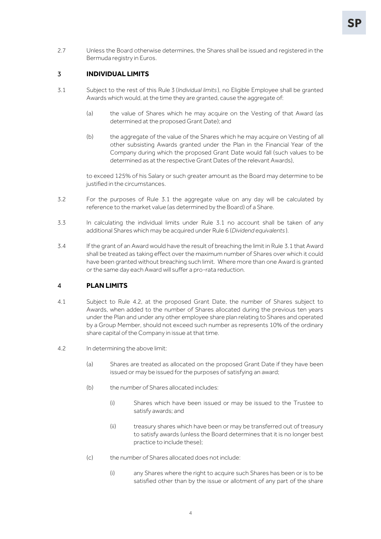2.7 Unless the Board otherwise determines, the Shares shall be issued and registered in the Bermuda registry in Euros.

### <span id="page-5-0"></span>3 **INDIVIDUAL LIMITS**

- <span id="page-5-2"></span>3.1 Subject to the rest of this Rule [3](#page-5-0) (*[Individual limits](#page-5-0)* ), no Eligible Employee shall be granted Awards which would, at the time they are granted, cause the aggregate of:
	- (a) the value of Shares which he may acquire on the Vesting of that Award (as determined at the proposed Grant Date); and
	- (b) the aggregate of the value of the Shares which he may acquire on Vesting of all other subsisting Awards granted under the Plan in the Financial Year of the Company during which the proposed Grant Date would fall (such values to be determined as at the respective Grant Dates of the relevant Awards),

to exceed 125% of his Salary or such greater amount as the Board may determine to be justified in the circumstances.

- 3.2 For the purposes of Rule [3.1](#page-5-2) the aggregate value on any day will be calculated by reference to the market value (as determined by the Board) of a Share.
- 3.3 In calculating the individual limits under Rule [3.1](#page-5-2) no account shall be taken of any additional Shares which may be acquired under Rule [6](#page-6-1) (*[Dividend equivalents](#page-6-1)* ).
- 3.4 If the grant of an Award would have the result of breaching the limit in Rul[e 3.1](#page-5-2) that Award shall be treated as taking effect over the maximum number of Shares over which it could have been granted without breaching such limit. Where more than one Award is granted or the same day each Award will suffer a pro-rata reduction.

### <span id="page-5-4"></span><span id="page-5-1"></span>4 **PLAN LIMITS**

- 4.1 Subject to Rule [4.2,](#page-5-3) at the proposed Grant Date, the number of Shares subject to Awards, when added to the number of Shares allocated during the previous ten years under the Plan and under any other employee share plan relating to Shares and operated by a Group Member, should not exceed such number as represents 10% of the ordinary share capital of the Company in issue at that time.
- <span id="page-5-3"></span>4.2 In determining the above limit:
	- (a) Shares are treated as allocated on the proposed Grant Date if they have been issued or may be issued for the purposes of satisfying an award;
	- (b) the number of Shares allocated includes:
		- (i) Shares which have been issued or may be issued to the Trustee to satisfy awards; and
		- (ii) treasury shares which have been or may be transferred out of treasury to satisfy awards (unless the Board determines that it is no longer best practice to include these);
	- (c) the number of Shares allocated does not include:
		- (i) any Shares where the right to acquire such Shares has been or is to be satisfied other than by the issue or allotment of any part of the share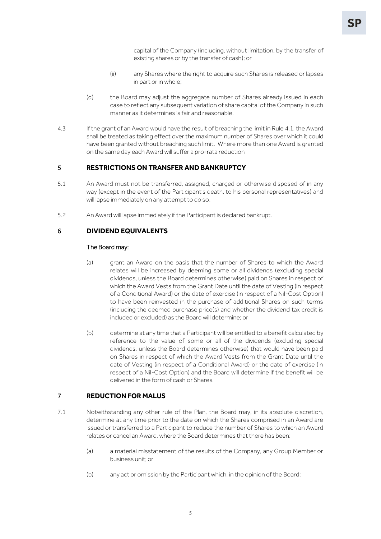capital of the Company (including, without limitation, by the transfer of existing shares or by the transfer of cash); or

- (ii) any Shares where the right to acquire such Shares is released or lapses in part or in whole;
- (d) the Board may adjust the aggregate number of Shares already issued in each case to reflect any subsequent variation of share capital of the Company in such manner as it determines is fair and reasonable.
- 4.3 If the grant of an Award would have the result of breaching the limit in Rul[e 4.1,](#page-5-4) the Award shall be treated as taking effect over the maximum number of Shares over which it could have been granted without breaching such limit. Where more than one Award is granted on the same day each Award will suffer a pro-rata reduction

### <span id="page-6-0"></span>5 **RESTRICTIONS ON TRANSFER AND BANKRUPTCY**

- 5.1 An Award must not be transferred, assigned, charged or otherwise disposed of in any way (except in the event of the Participant's death, to his personal representatives) and will lapse immediately on any attempt to do so.
- <span id="page-6-1"></span>5.2 An Award will lapse immediately if the Participant is declared bankrupt.

### 6 **DIVIDEND EQUIVALENTS**

### The Board may:

- (a) grant an Award on the basis that the number of Shares to which the Award relates will be increased by deeming some or all dividends (excluding special dividends, unless the Board determines otherwise) paid on Shares in respect of which the Award Vests from the Grant Date until the date of Vesting (in respect of a Conditional Award) or the date of exercise (in respect of a Nil-Cost Option) to have been reinvested in the purchase of additional Shares on such terms (including the deemed purchase price(s) and whether the dividend tax credit is included or excluded) as the Board will determine; or
- (b) determine at any time that a Participant will be entitled to a benefit calculated by reference to the value of some or all of the dividends (excluding special dividends, unless the Board determines otherwise) that would have been paid on Shares in respect of which the Award Vests from the Grant Date until the date of Vesting (in respect of a Conditional Award) or the date of exercise (in respect of a Nil-Cost Option) and the Board will determine if the benefit will be delivered in the form of cash or Shares.

# <span id="page-6-2"></span>7 **REDUCTION FOR MALUS**

- 7.1 Notwithstanding any other rule of the Plan, the Board may, in its absolute discretion, determine at any time prior to the date on which the Shares comprised in an Award are issued or transferred to a Participant to reduce the number of Shares to which an Award relates or cancel an Award, where the Board determines that there has been:
	- (a) a material misstatement of the results of the Company, any Group Member or business unit; or
	- (b) any act or omission by the Participant which, in the opinion of the Board: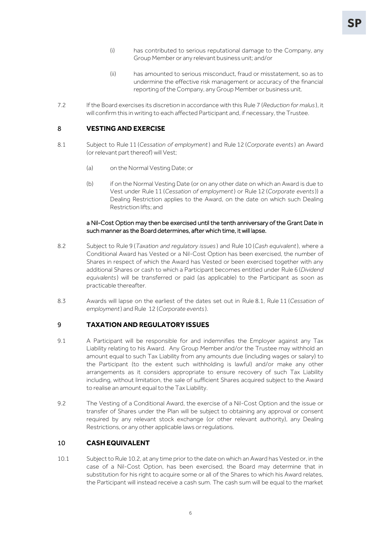- (i) has contributed to serious reputational damage to the Company, any Group Member or any relevant business unit; and/or
- (ii) has amounted to serious misconduct, fraud or misstatement, so as to undermine the effective risk management or accuracy of the financial reporting of the Company, any Group Member or business unit.
- 7.2 If the Board exercises its discretion in accordance with this Rule [7](#page-6-2) (*[Reduction for malus](#page-6-2)* ), it will confirm this in writing to each affected Participant and, if necessary, the Trustee.

### <span id="page-7-3"></span><span id="page-7-0"></span>8 **VESTING AND EXERCISE**

- 8.1 Subject to Rule [11](#page-8-0) (*[Cessation of employment](#page-8-0)*) and Rule [12](#page-9-0) (*[Corporate events](#page-9-0)* ) an Award (or relevant part thereof) will Vest;
	- (a) on the Normal Vesting Date; or
	- (b) if on the Normal Vesting Date (or on any other date on which an Award is due to Vest under Rule [11](#page-8-0) (*[Cessation of employment](#page-8-0)*) or Rule [12](#page-9-0) (*[Corporate events](#page-9-0)* )) a Dealing Restriction applies to the Award, on the date on which such Dealing Restriction lifts; and

### a Nil-Cost Option may then be exercised until the tenth anniversary of the Grant Date in such manner as the Board determines, after which time, it will lapse.

- 8.2 Subject to Rule [9](#page-7-1) (*[Taxation and regulatory issues](#page-7-1)* ) and Rule [10](#page-7-2) (*[Cash equivalent](#page-7-2)*), where a Conditional Award has Vested or a Nil-Cost Option has been exercised, the number of Shares in respect of which the Award has Vested or been exercised together with any additional Shares or cash to which a Participant becomes entitled under Rule [6](#page-6-1) (*[Dividend](#page-6-1)  [equivalents](#page-6-1)* ) will be transferred or paid (as applicable) to the Participant as soon as practicable thereafter.
- 8.3 Awards will lapse on the earliest of the dates set out in Rule [8.1,](#page-7-3) Rule [11](#page-8-0) (*[Cessation of](#page-8-0)  [employment](#page-8-0)*) and Rule [12](#page-9-0) (*[Corporate events](#page-9-0)* ).

# <span id="page-7-1"></span>9 **TAXATION AND REGULATORY ISSUES**

- 9.1 A Participant will be responsible for and indemnifies the Employer against any Tax Liability relating to his Award. Any Group Member and/or the Trustee may withhold an amount equal to such Tax Liability from any amounts due (including wages or salary) to the Participant (to the extent such withholding is lawful) and/or make any other arrangements as it considers appropriate to ensure recovery of such Tax Liability including, without limitation, the sale of sufficient Shares acquired subject to the Award to realise an amount equal to the Tax Liability.
- 9.2 The Vesting of a Conditional Award, the exercise of a Nil-Cost Option and the issue or transfer of Shares under the Plan will be subject to obtaining any approval or consent required by any relevant stock exchange (or other relevant authority), any Dealing Restrictions, or any other applicable laws or regulations.

### <span id="page-7-2"></span>10 **CASH EQUIVALENT**

10.1 Subject to Rule [10.2,](#page-8-1) at any time prior to the date on which an Award has Vested or, in the case of a Nil-Cost Option, has been exercised, the Board may determine that in substitution for his right to acquire some or all of the Shares to which his Award relates, the Participant will instead receive a cash sum. The cash sum will be equal to the market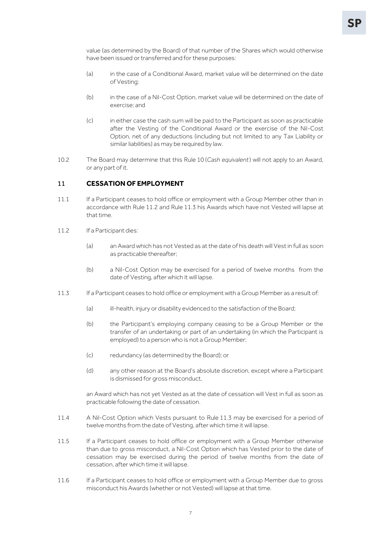value (as determined by the Board) of that number of the Shares which would otherwise have been issued or transferred and for these purposes:

- (a) in the case of a Conditional Award, market value will be determined on the date of Vesting;
- (b) in the case of a Nil-Cost Option, market value will be determined on the date of exercise; and
- (c) in either case the cash sum will be paid to the Participant as soon as practicable after the Vesting of the Conditional Award or the exercise of the Nil-Cost Option, net of any deductions (including but not limited to any Tax Liability or similar liabilities) as may be required by law.
- <span id="page-8-1"></span>10.2 The Board may determine that this Rule [10](#page-7-2) (*[Cash equivalent](#page-7-2)*) will not apply to an Award, or any part of it.

### <span id="page-8-0"></span>11 **CESSATION OF EMPLOYMENT**

- 11.1 If a Participant ceases to hold office or employment with a Group Member other than in accordance with Rule [11.2](#page-8-2) and Rule [11.3](#page-8-3) his Awards which have not Vested will lapse at that time.
- <span id="page-8-2"></span>11.2 If a Participant dies:
	- (a) an Award which has not Vested as at the date of his death will Vest in full as soon as practicable thereafter;
	- (b) a Nil-Cost Option may be exercised for a period of twelve months from the date of Vesting, after which it will lapse.
- <span id="page-8-3"></span>11.3 If a Participant ceases to hold office or employment with a Group Member as a result of:
	- (a) ill-health, injury or disability evidenced to the satisfaction of the Board;
	- (b) the Participant's employing company ceasing to be a Group Member or the transfer of an undertaking or part of an undertaking (in which the Participant is employed) to a person who is not a Group Member;
	- (c) redundancy (as determined by the Board); or
	- (d) any other reason at the Board's absolute discretion, except where a Participant is dismissed for gross misconduct,

an Award which has not yet Vested as at the date of cessation will Vest in full as soon as practicable following the date of cessation.

- 11.4 A Nil-Cost Option which Vests pursuant to Rule [11.3](#page-8-3) may be exercised for a period of twelve months from the date of Vesting, after which time it will lapse.
- 11.5 If a Participant ceases to hold office or employment with a Group Member otherwise than due to gross misconduct, a Nil-Cost Option which has Vested prior to the date of cessation may be exercised during the period of twelve months from the date of cessation, after which time it will lapse.
- 11.6 If a Participant ceases to hold office or employment with a Group Member due to gross misconduct his Awards (whether or not Vested) will lapse at that time.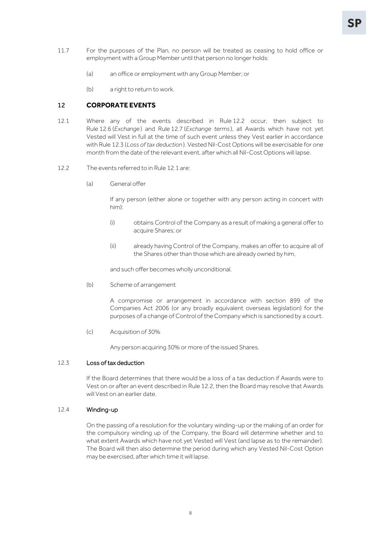- 11.7 For the purposes of the Plan, no person will be treated as ceasing to hold office or employment with a Group Member until that person no longer holds:
	- (a) an office or employment with any Group Member; or
	- (b) a right to return to work.

### <span id="page-9-3"></span><span id="page-9-0"></span>12 **CORPORATE EVENTS**

- 12.1 Where any of the events described in Rule [12.2](#page-9-1) occur, then subject to Rule [12.6](#page-10-2) (*[Exchange](#page-10-2)*) and Rule [12.7](#page-10-3) (*[Exchange terms](#page-10-3)* ), all Awards which have not yet Vested will Vest in full at the time of such event unless they Vest earlier in accordance with Rule [12.3](#page-9-2) (*[Loss of tax deduction](#page-9-2)*). Vested Nil-Cost Options will be exercisable for one month from the date of the relevant event, after which all Nil-Cost Options will lapse.
- <span id="page-9-1"></span>12.2 The events referred to in Rule [12.1](#page-9-3) are:
	- (a) General offer

If any person (either alone or together with any person acting in concert with him):

- (i) obtains Control of the Company as a result of making a general offer to acquire Shares; or
- (ii) already having Control of the Company, makes an offer to acquire all of the Shares other than those which are already owned by him,

and such offer becomes wholly unconditional.

(b) Scheme of arrangement

A compromise or arrangement in accordance with section 899 of the Companies Act 2006 (or any broadly equivalent overseas legislation) for the purposes of a change of Control of the Company which is sanctioned by a court.

(c) Acquisition of 30%

Any person acquiring 30% or more of the issued Shares.

# <span id="page-9-2"></span>12.3 Loss of tax deduction

If the Board determines that there would be a loss of a tax deduction if Awards were to Vest on or after an event described in Rule [12.2,](#page-9-1) then the Board may resolve that Awards will Vest on an earlier date.

#### 12.4 Winding-up

On the passing of a resolution for the voluntary winding-up or the making of an order for the compulsory winding up of the Company, the Board will determine whether and to what extent Awards which have not yet Vested will Vest (and lapse as to the remainder). The Board will then also determine the period during which any Vested Nil-Cost Option may be exercised, after which time it will lapse.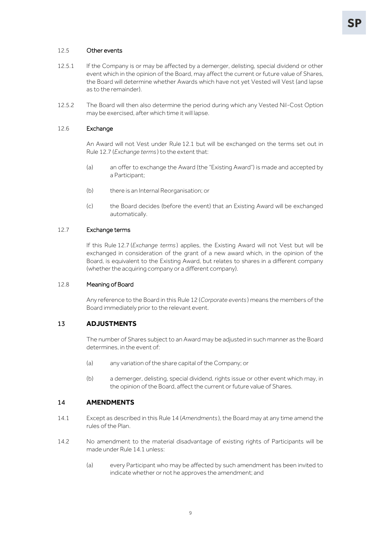### 12.5 Other events

- 12.5.1 If the Company is or may be affected by a demerger, delisting, special dividend or other event which in the opinion of the Board, may affect the current or future value of Shares, the Board will determine whether Awards which have not yet Vested will Vest (and lapse as to the remainder).
- 12.5.2 The Board will then also determine the period during which any Vested Nil-Cost Option may be exercised, after which time it will lapse.

#### <span id="page-10-2"></span>12.6 Exchange

An Award will not Vest under Rule [12.1](#page-9-3) but will be exchanged on the terms set out in Rule [12.7](#page-10-3) (*[Exchange terms](#page-10-3)* ) to the extent that:

- (a) an offer to exchange the Award (the "Existing Award") is made and accepted by a Participant;
- (b) there is an Internal Reorganisation; or
- (c) the Board decides (before the event) that an Existing Award will be exchanged automatically.

### <span id="page-10-3"></span>12.7 Exchange terms

If this Rule [12.7](#page-10-3) (*[Exchange terms](#page-10-3)* ) applies, the Existing Award will not Vest but will be exchanged in consideration of the grant of a new award which, in the opinion of the Board, is equivalent to the Existing Award, but relates to shares in a different company (whether the acquiring company or a different company).

### 12.8 Meaning of Board

Any reference to the Board in this Rule [12](#page-9-0) (*[Corporate events](#page-9-0)* ) means the members of the Board immediately prior to the relevant event.

### <span id="page-10-0"></span>13 **ADJUSTMENTS**

The number of Shares subject to an Award may be adjusted in such manner as the Board determines, in the event of

- (a) any variation of the share capital of the Company; or
- (b) a demerger, delisting, special dividend, rights issue or other event which may, in the opinion of the Board, affect the current or future value of Shares.

### <span id="page-10-4"></span><span id="page-10-1"></span>14 **AMENDMENTS**

- 14.1 Except as described in this Rule [14](#page-10-1) (*[Amendments](#page-10-1)* ), the Board may at any time amend the rules of the Plan.
- 14.2 No amendment to the material disadvantage of existing rights of Participants will be made under Rule [14.1](#page-10-4) unless:
	- (a) every Participant who may be affected by such amendment has been invited to indicate whether or not he approves the amendment; and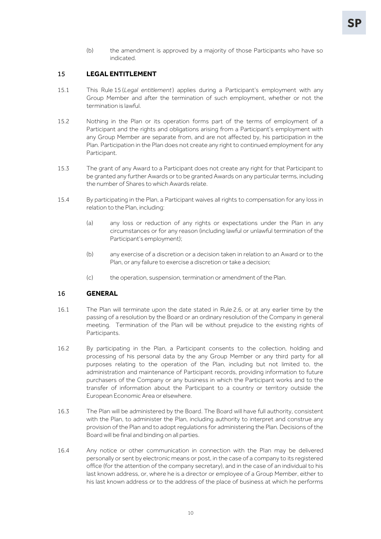(b) the amendment is approved by a majority of those Participants who have so indicated.

# <span id="page-11-0"></span>15 **LEGAL ENTITLEMENT**

- 15.1 This Rule [15](#page-11-0) (*[Legal entitlement](#page-11-0)*) applies during a Participant's employment with any Group Member and after the termination of such employment, whether or not the termination is lawful.
- 15.2 Nothing in the Plan or its operation forms part of the terms of employment of a Participant and the rights and obligations arising from a Participant's employment with any Group Member are separate from, and are not affected by, his participation in the Plan. Participation in the Plan does not create any right to continued employment for any Participant.
- 15.3 The grant of any Award to a Participant does not create any right for that Participant to be granted any further Awards or to be granted Awards on any particular terms, including the number of Shares to which Awards relate.
- 15.4 By participating in the Plan, a Participant waives all rights to compensation for any loss in relation to the Plan, including:
	- (a) any loss or reduction of any rights or expectations under the Plan in any circumstances or for any reason (including lawful or unlawful termination of the Participant's employment);
	- (b) any exercise of a discretion or a decision taken in relation to an Award or to the Plan, or any failure to exercise a discretion or take a decision;
	- (c) the operation, suspension, termination or amendment of the Plan.

### <span id="page-11-1"></span>16 **GENERAL**

- 16.1 The Plan will terminate upon the date stated in Rule [2.6,](#page-4-3) or at any earlier time by the passing of a resolution by the Board or an ordinary resolution of the Company in general meeting. Termination of the Plan will be without prejudice to the existing rights of Participants.
- 16.2 By participating in the Plan, a Participant consents to the collection, holding and processing of his personal data by the any Group Member or any third party for all purposes relating to the operation of the Plan, including but not limited to, the administration and maintenance of Participant records, providing information to future purchasers of the Company or any business in which the Participant works and to the transfer of information about the Participant to a country or territory outside the European Economic Area or elsewhere.
- 16.3 The Plan will be administered by the Board. The Board will have full authority, consistent with the Plan, to administer the Plan, including authority to interpret and construe any provision of the Plan and to adopt regulations for administering the Plan. Decisions of the Board will be final and binding on all parties.
- 16.4 Any notice or other communication in connection with the Plan may be delivered personally or sent by electronic means or post, in the case of a company to its registered office (for the attention of the company secretary), and in the case of an individual to his last known address, or, where he is a director or employee of a Group Member, either to his last known address or to the address of the place of business at which he performs